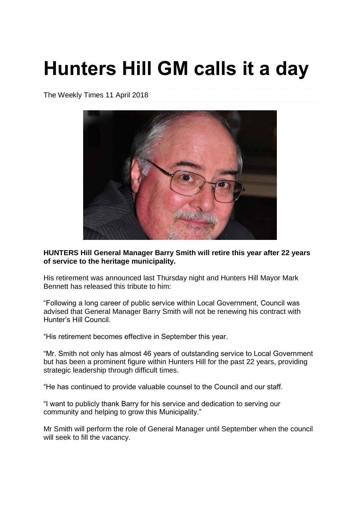## **Hunters Hill GM calls it a day**

The Weekly Times 11 April 2018



**HUNTERS Hill General Manager Barry Smith will retire this year after 22 years of service to the heritage municipality.**

His retirement was announced last Thursday night and Hunters Hill Mayor Mark Bennett has released this tribute to him:

"Following a long career of public service within Local Government, Council was advised that General Manager Barry Smith will not be renewing his contract with Hunter's Hill Council.

"His retirement becomes effective in September this year.

"Mr. Smith not only has almost 46 years of outstanding service to Local Government but has been a prominent figure within Hunters Hill for the past 22 years, providing strategic leadership through difficult times.

"He has continued to provide valuable counsel to the Council and our staff.

"I want to publicly thank Barry for his service and dedication to serving our community and helping to grow this Municipality."

Mr Smith will perform the role of General Manager until September when the council will seek to fill the vacancy.